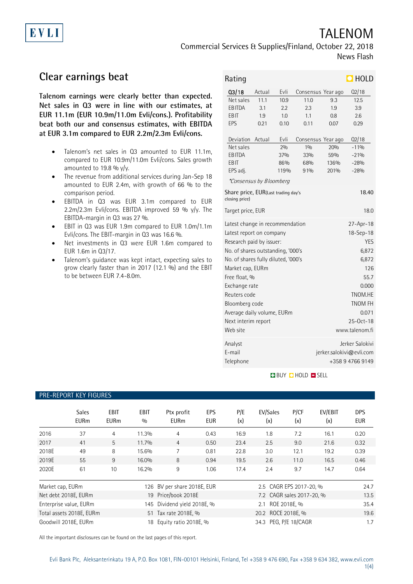# TALENOM

Commercial Services & Supplies/Finland, October 22, 2018 News Flash

## **Clear earnings beat**

EVLI

**Talenom earnings were clearly better than expected. Net sales in Q3 were in line with our estimates, at EUR 11.1m (EUR 10.9m/11.0m Evli/cons.). Profitability beat both our and consensus estimates, with EBITDA at EUR 3.1m compared to EUR 2.2m/2.3m Evli/cons.**

- Talenom's net sales in Q3 amounted to EUR 11.1m, compared to EUR 10.9m/11.0m Evli/cons. Sales growth amounted to 19.8 %  $y/y$ .
- The revenue from additional services during Jan-Sep 18 amounted to EUR 2.4m, with growth of 66 % to the comparison period.
- EBITDA in Q3 was EUR 3.1m compared to EUR 2.2m/2.3m Evli/cons. EBITDA improved 59 %  $y/y$ . The EBITDA-margin in Q3 was 27 %.
- EBIT in Q3 was EUR 1.9m compared to EUR 1.0m/1.1m Evli/cons. The EBIT-margin in Q3 was 16.6 %.
- Net investments in Q3 were EUR 1.6m compared to EUR 1.6m in Q3/17.
- Talenom's guidance was kept intact, expecting sales to grow clearly faster than in 2017 (12.1 %) and the EBIT to be between EUR 7.4-8.0m.

| Rating                                                                                                                                                                                                                                                                                                                                                                                                                                                                              |        |      |      |                    | $\Box$ HOLD                                                     |  |  |
|-------------------------------------------------------------------------------------------------------------------------------------------------------------------------------------------------------------------------------------------------------------------------------------------------------------------------------------------------------------------------------------------------------------------------------------------------------------------------------------|--------|------|------|--------------------|-----------------------------------------------------------------|--|--|
| Q3/18                                                                                                                                                                                                                                                                                                                                                                                                                                                                               | Actual | Evli |      | Consensus Year ago | Q2/18                                                           |  |  |
| Net sales                                                                                                                                                                                                                                                                                                                                                                                                                                                                           | 11.1   | 10.9 | 11.0 | 9.3                | 12.5                                                            |  |  |
| EB ITDA                                                                                                                                                                                                                                                                                                                                                                                                                                                                             | 3.1    | 2.2  | 2.3  | 1.9                | 3.9                                                             |  |  |
| EBIT                                                                                                                                                                                                                                                                                                                                                                                                                                                                                | 1.9    | 1.0  | 1.1  | 0.8                | 2.6                                                             |  |  |
| EPS                                                                                                                                                                                                                                                                                                                                                                                                                                                                                 | 0.21   | 0.10 | 0.11 | 0.07               | 0.29                                                            |  |  |
| Deviation                                                                                                                                                                                                                                                                                                                                                                                                                                                                           | Actual | Evli |      | Consensus Year ago | Q2/18                                                           |  |  |
| Net sales                                                                                                                                                                                                                                                                                                                                                                                                                                                                           |        | 2%   | 10/0 | 20%                | $-119/0$                                                        |  |  |
| EB ITDA                                                                                                                                                                                                                                                                                                                                                                                                                                                                             |        | 37%  | 33%  | 59%                | $-21%$                                                          |  |  |
| EBIT                                                                                                                                                                                                                                                                                                                                                                                                                                                                                |        | 86%  | 68%  | 136%               | $-28%$                                                          |  |  |
| EPS adj.                                                                                                                                                                                                                                                                                                                                                                                                                                                                            |        | 119% | 91%  | 201%               | $-28%$                                                          |  |  |
| <i>*Consensus by Bloomberg</i>                                                                                                                                                                                                                                                                                                                                                                                                                                                      |        |      |      |                    |                                                                 |  |  |
| Share price, EUR(Last trading day's<br>18.40<br>closing price)                                                                                                                                                                                                                                                                                                                                                                                                                      |        |      |      |                    |                                                                 |  |  |
| Target price, EUR<br>18.0                                                                                                                                                                                                                                                                                                                                                                                                                                                           |        |      |      |                    |                                                                 |  |  |
| Latest change in recommendation<br>27-Apr-18<br>18-Sep-18<br>Latest report on company<br><b>YES</b><br>Research paid by issuer:<br>No. of shares outstanding, '000's<br>6,872<br>No. of shares fully diluted, '000's<br>6,872<br>126<br>Market cap, EURm<br>Free float, %<br>55.7<br>Exchange rate<br>0.000<br>Reuters code<br>TNOM.HE<br><b>TNOM FH</b><br>Bloomberg code<br>Average daily volume, EURm<br>0.071<br>Next interim report<br>25-Oct-18<br>Web site<br>www.talenom.fi |        |      |      |                    |                                                                 |  |  |
| Analyst<br>E-mail<br>Telephone                                                                                                                                                                                                                                                                                                                                                                                                                                                      |        |      |      |                    | Jerker Salokivi<br>jerker.salokivi@evli.com<br>+358 9 4766 9149 |  |  |

**BUY DHOLD DISELL** 

#### PRE-REPORT KEY FIGURES

|                  | <b>Sales</b><br><b>EURm</b> | <b>EBIT</b><br><b>EURm</b> | <b>EBIT</b><br>0/0 | Ptx profit<br><b>EURm</b>   | EPS<br><b>EUR</b> | P/E<br>(x) | EV/Sales<br>(x)           | P/CF<br>(x) | EV/EBIT<br>(x) | DPS<br><b>EUR</b> |
|------------------|-----------------------------|----------------------------|--------------------|-----------------------------|-------------------|------------|---------------------------|-------------|----------------|-------------------|
| 2016             | 37                          | $\overline{4}$             | 11.3%              | 4                           | 0.43              | 16.9       | 1.8                       | 7.2         | 16.1           | 0.20              |
| 2017             | 41                          | 5                          | 11.7%              | $\overline{4}$              | 0.50              | 23.4       | 2.5                       | 9.0         | 21.6           | 0.32              |
| 2018E            | 49                          | 8                          | 15.6%              |                             | 0.81              | 22.8       | 3.0                       | 12.1        | 19.2           | 0.39              |
| 2019E            | 55                          | 9                          | 16.0%              | 8                           | 0.94              | 19.5       | 2.6                       | 11.0        | 16.5           | 0.46              |
| 2020E            | 61                          | 10                         | 16.2%              | 9                           | 1.06              | 17.4       | 2.4                       | 9.7         | 14.7           | 0.64              |
| Market cap, EURm |                             |                            |                    | 126 BV per share 2018E, EUR |                   |            | 2.5 CAGR EPS 2017-20, %   |             |                | 24.7              |
|                  | Net debt 2018E, EURm        |                            |                    | 19 Price/book 2018E         |                   |            | 7.2 CAGR sales 2017-20, % |             |                | 13.5              |
|                  | Enterprise value, EURm      |                            |                    | 145 Dividend yield 2018E, % |                   |            | 2.1 ROE 2018E, %          |             |                | 35.4              |
|                  | Total assets 2018E, EURm    |                            |                    | 51 Tax rate 2018E, %        |                   |            | 20.2 ROCE 2018E. %        |             |                | 19.6              |
|                  | Goodwill 2018E, EURm        |                            | 18                 | Equity ratio 2018E, %       |                   |            | 34.3 PEG, P/E 18/CAGR     |             |                | 1.7               |

All the important disclosures can be found on the last pages of this report.

1(4)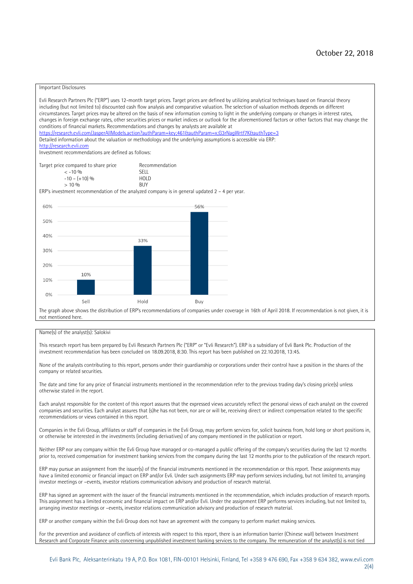#### Important Disclosures

Evli Research Partners Plc ("ERP") uses 12-month target prices. Target prices are defined by utilizing analytical techniques based on financial theory including (but not limited to) discounted cash flow analysis and comparative valuation. The selection of valuation methods depends on different circumstances. Target prices may be altered on the basis of new information coming to light in the underlying company or changes in interest rates, changes in foreign exchange rates, other securities prices or market indices or outlook for the aforementioned factors or other factors that may change the conditions of financial markets. Recommendations and changes by analysts are available at <https://research.evli.com/JasperAllModels.action?authParam=key;461&authParam=x;G3rNagWrtf7K&authType=3> Detailed information about the valuation or methodology and the underlying assumptions is accessible via ERP: [http://research.evli.com](http://research.evli.com/) Investment recommendations are defined as follows: Target price compared to share price Recommendation<br> $\leq 10\%$  $\langle 5, -10, 9 \rangle$  SELL<br> $-10, - (+10), 9 \rangle$  HOLD  $-10 - (+10) \%$  HOL<br>  $> 10 \%$  $> 10\%$ ERP's investment recommendation of the analyzed company is in general updated  $2 - 4$  per year. 60% 56% 50% 40% 33%  $30%$ 20% 10% 10%  $0%$ Sell Hold Buy The graph above shows the distribution of ERP's recommendations of companies under coverage in 16th of April 2018. If recommendation is not given, it is not mentioned here.

#### Name(s) of the analyst(s): Salokivi

This research report has been prepared by Evli Research Partners Plc ("ERP" or "Evli Research"). ERP is a subsidiary of Evli Bank Plc. Production of the investment recommendation has been concluded on 18.09.2018, 8:30. This report has been published on 22.10.2018, 13:45.

None of the analysts contributing to this report, persons under their guardianship or corporations under their control have a position in the shares of the company or related securities.

The date and time for any price of financial instruments mentioned in the recommendation refer to the previous trading day's closing price(s) unless otherwise stated in the report.

Each analyst responsible for the content of this report assures that the expressed views accurately reflect the personal views of each analyst on the covered companies and securities. Each analyst assures that (s)he has not been, nor are or will be, receiving direct or indirect compensation related to the specific recommendations or views contained in this report.

Companies in the Evli Group, affiliates or staff of companies in the Evli Group, may perform services for, solicit business from, hold long or short positions in, or otherwise be interested in the investments (including derivatives) of any company mentioned in the publication or report.

Neither ERP nor any company within the Evli Group have managed or co-managed a public offering of the company's securities during the last 12 months prior to, received compensation for investment banking services from the company during the last 12 months prior to the publication of the research report.

ERP may pursue an assignment from the issuer(s) of the financial instruments mentioned in the recommendation or this report. These assignments may have a limited economic or financial impact on ERP and/or Evli. Under such assignments ERP may perform services including, but not limited to, arranging investor meetings or –events, investor relations communication advisory and production of research material.

ERP has signed an agreement with the issuer of the financial instruments mentioned in the recommendation, which includes production of research reports. This assignment has a limited economic and financial impact on ERP and/or Evli. Under the assignment ERP performs services including, but not limited to, arranging investor meetings or –events, investor relations communication advisory and production of research material.

ERP or another company within the Evli Group does not have an agreement with the company to perform market making services.

For the prevention and avoidance of conflicts of interests with respect to this report, there is an information barrier (Chinese wall) between Investment Research and Corporate Finance units concerning unpublished investment banking services to the company. The remuneration of the analyst(s) is not tied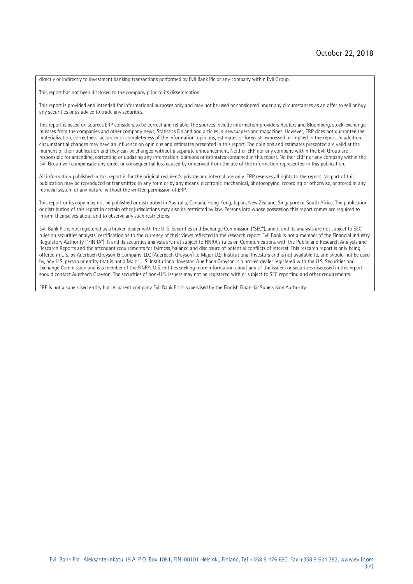directly or indirectly to investment banking transactions performed by Evli Bank Plc or any company within Evli Group.

This report has not been disclosed to the company prior to its dissemination.

This report is provided and intended for informational purposes only and may not be used or considered under any circumstances as an offer to sell or buy any securities or as advice to trade any securities.

This report is based on sources ERP considers to be correct and reliable. The sources include information providers Reuters and Bloomberg, stock-exchange releases from the companies and other company news, Statistics Finland and articles in newspapers and magazines. However, ERP does not guarantee the materialization, correctness, accuracy or completeness of the information, opinions, estimates or forecasts expressed or implied in the report. In addition, circumstantial changes may have an influence on opinions and estimates presented in this report. The opinions and estimates presented are valid at the moment of their publication and they can be changed without a separate announcement. Neither ERP nor any company within the Evli Group are responsible for amending, correcting or updating any information, opinions or estimates contained in this report. Neither ERP nor any company within the Evli Group will compensate any direct or consequential loss caused by or derived from the use of the information represented in this publication.

All information published in this report is for the original recipient's private and internal use only. ERP reserves all rights to the report. No part of this publication may be reproduced or transmitted in any form or by any means, electronic, mechanical, photocopying, recording or otherwise, or stored in any retrieval system of any nature, without the written permission of ERP.

This report or its copy may not be published or distributed in Australia, Canada, Hong Kong, Japan, New Zealand, Singapore or South Africa. The publication or distribution of this report in certain other jurisdictions may also be restricted by law. Persons into whose possession this report comes are required to inform themselves about and to observe any such restrictions.

Evli Bank Plc is not registered as a broker-dealer with the U. S. Securities and Exchange Commission ("SEC"), and it and its analysts are not subject to SEC rules on securities analysts' certification as to the currency of their views reflected in the research report. Evli Bank is not a member of the Financial Industry Regulatory Authority ("FINRA"). It and its securities analysts are not subject to FINRA's rules on Communications with the Public and Research Analysts and Research Reports and the attendant requirements for fairness, balance and disclosure of potential conflicts of interest. This research report is only being offered in U.S. by Auerbach Grayson & Company, LLC (Auerbach Grayson) to Major U.S. Institutional Investors and is not available to, and should not be used by, any U.S. person or entity that is not a Major U.S. Institutional Investor. Auerbach Grayson is a broker-dealer registered with the U.S. Securities and Exchange Commission and is a member of the FINRA. U.S. entities seeking more information about any of the issuers or securities discussed in this report should contact Auerbach Grayson. The securities of non-U.S. issuers may not be registered with or subject to SEC reporting and other requirements.

ERP is not a supervised entity but its parent company Evli Bank Plc is supervised by the Finnish Financial Supervision Authority.